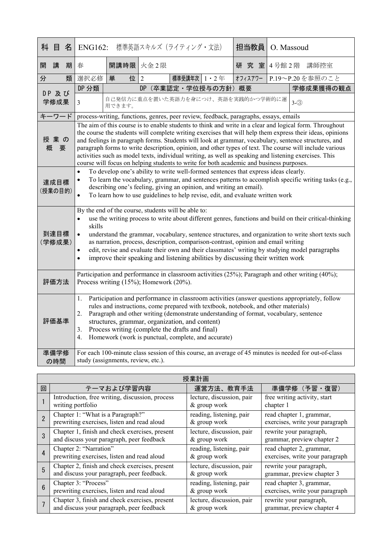|                                                                                                                                                                                                                                                                                                                                                                                                                                                                                                                                                                                                                                                              | 科 目                                                                                                                                                                                                                                                                                                                                                                                                                                                                                                                                                                                                                              | 名 | <b>ENG162:</b>                                                                                                                                                                                                                                                                                                                                                                                                                                                      |        | 標準英語スキルズ (ライティング・文法)                                                                  |  | 担当教員    |  | O. Massoud      |
|--------------------------------------------------------------------------------------------------------------------------------------------------------------------------------------------------------------------------------------------------------------------------------------------------------------------------------------------------------------------------------------------------------------------------------------------------------------------------------------------------------------------------------------------------------------------------------------------------------------------------------------------------------------|----------------------------------------------------------------------------------------------------------------------------------------------------------------------------------------------------------------------------------------------------------------------------------------------------------------------------------------------------------------------------------------------------------------------------------------------------------------------------------------------------------------------------------------------------------------------------------------------------------------------------------|---|---------------------------------------------------------------------------------------------------------------------------------------------------------------------------------------------------------------------------------------------------------------------------------------------------------------------------------------------------------------------------------------------------------------------------------------------------------------------|--------|---------------------------------------------------------------------------------------|--|---------|--|-----------------|
| 開                                                                                                                                                                                                                                                                                                                                                                                                                                                                                                                                                                                                                                                            | 講                                                                                                                                                                                                                                                                                                                                                                                                                                                                                                                                                                                                                                | 期 | 春                                                                                                                                                                                                                                                                                                                                                                                                                                                                   | 開講時限   | 火金2限                                                                                  |  | 研究室     |  | 4号館2階 講師控室      |
| 分                                                                                                                                                                                                                                                                                                                                                                                                                                                                                                                                                                                                                                                            |                                                                                                                                                                                                                                                                                                                                                                                                                                                                                                                                                                                                                                  | 類 | 選択必修                                                                                                                                                                                                                                                                                                                                                                                                                                                                | 位<br>単 | $\mathcal{L}$<br>標準受講年次   1 · 2年                                                      |  | オフィスアワー |  | P.19~P.20を参照のこと |
|                                                                                                                                                                                                                                                                                                                                                                                                                                                                                                                                                                                                                                                              | DP 及び<br>学修成果                                                                                                                                                                                                                                                                                                                                                                                                                                                                                                                                                                                                                    |   | DP 分類                                                                                                                                                                                                                                                                                                                                                                                                                                                               |        | DP (卒業認定·学位授与の方針) 概要                                                                  |  |         |  | 学修成果獲得の観点       |
|                                                                                                                                                                                                                                                                                                                                                                                                                                                                                                                                                                                                                                                              |                                                                                                                                                                                                                                                                                                                                                                                                                                                                                                                                                                                                                                  |   | 3                                                                                                                                                                                                                                                                                                                                                                                                                                                                   | 用できます。 | 自己発信力に重点を置いた英語力を身につけ、英語を実践的かつ学術的に運                                                    |  |         |  | $3-(3)$         |
|                                                                                                                                                                                                                                                                                                                                                                                                                                                                                                                                                                                                                                                              | キーワード                                                                                                                                                                                                                                                                                                                                                                                                                                                                                                                                                                                                                            |   |                                                                                                                                                                                                                                                                                                                                                                                                                                                                     |        | process-writing, functions, genres, peer review, feedback, paragraphs, essays, emails |  |         |  |                 |
| The aim of this course is to enable students to think and write in a clear and logical form. Throughout<br>the course the students will complete writing exercises that will help them express their ideas, opinions<br>授業の<br>and feelings in paragraph forms. Students will look at grammar, vocabulary, sentence structures, and<br>paragraph forms to write description, opinion, and other types of text. The course will include various<br>概<br>要<br>activities such as model texts, individual writing, as well as speaking and listening exercises. This<br>course will focus on helping students to write for both academic and business purposes. |                                                                                                                                                                                                                                                                                                                                                                                                                                                                                                                                                                                                                                  |   |                                                                                                                                                                                                                                                                                                                                                                                                                                                                     |        |                                                                                       |  |         |  |                 |
| To develop one's ability to write well-formed sentences that express ideas clearly.<br>$\bullet$<br>To learn the vocabulary, grammar, and sentences patterns to accomplish specific writing tasks (e.g.,<br>$\bullet$<br>達成目標<br>describing one's feeling, giving an opinion, and writing an email).<br>(授業の目的)<br>To learn how to use guidelines to help revise, edit, and evaluate written work<br>$\bullet$                                                                                                                                                                                                                                               |                                                                                                                                                                                                                                                                                                                                                                                                                                                                                                                                                                                                                                  |   |                                                                                                                                                                                                                                                                                                                                                                                                                                                                     |        |                                                                                       |  |         |  |                 |
|                                                                                                                                                                                                                                                                                                                                                                                                                                                                                                                                                                                                                                                              | By the end of the course, students will be able to:<br>use the writing process to write about different genres, functions and build on their critical-thinking<br>$\bullet$<br>skills<br>到達目標<br>understand the grammar, vocabulary, sentence structures, and organization to write short texts such<br>$\bullet$<br>as narration, process, description, comparison-contrast, opinion and email writing<br>(学修成果)<br>edit, revise and evaluate their own and their classmates' writing by studying model paragraphs<br>$\bullet$<br>improve their speaking and listening abilities by discussing their written work<br>$\bullet$ |   |                                                                                                                                                                                                                                                                                                                                                                                                                                                                     |        |                                                                                       |  |         |  |                 |
|                                                                                                                                                                                                                                                                                                                                                                                                                                                                                                                                                                                                                                                              | Participation and performance in classroom activities (25%); Paragraph and other writing (40%);<br>評価方法<br>Process writing (15%); Homework (20%).                                                                                                                                                                                                                                                                                                                                                                                                                                                                                |   |                                                                                                                                                                                                                                                                                                                                                                                                                                                                     |        |                                                                                       |  |         |  |                 |
|                                                                                                                                                                                                                                                                                                                                                                                                                                                                                                                                                                                                                                                              | 評価基準                                                                                                                                                                                                                                                                                                                                                                                                                                                                                                                                                                                                                             |   | Participation and performance in classroom activities (answer questions appropriately, follow<br>1.<br>rules and instructions, come prepared with textbook, notebook, and other materials)<br>Paragraph and other writing (demonstrate understanding of format, vocabulary, sentence<br>2.<br>structures, grammar, organization, and content)<br>Process writing (complete the drafts and final)<br>3.<br>Homework (work is punctual, complete, and accurate)<br>4. |        |                                                                                       |  |         |  |                 |
|                                                                                                                                                                                                                                                                                                                                                                                                                                                                                                                                                                                                                                                              | 準備学修<br>の時間                                                                                                                                                                                                                                                                                                                                                                                                                                                                                                                                                                                                                      |   | For each 100-minute class session of this course, an average of 45 minutes is needed for out-of-class<br>study (assignments, review, etc.).                                                                                                                                                                                                                                                                                                                         |        |                                                                                       |  |         |  |                 |

| 授業計画            |                                                 |                           |                                 |  |  |  |
|-----------------|-------------------------------------------------|---------------------------|---------------------------------|--|--|--|
| 回               | テーマおよび学習内容                                      | 運営方法、教育手法                 | 準備学修 (予習·復習)                    |  |  |  |
|                 | Introduction, free writing, discussion, process | lecture, discussion, pair | free writing activity, start    |  |  |  |
|                 | writing portfolio                               | & group work              | chapter 1                       |  |  |  |
|                 | Chapter 1: "What is a Paragraph?"               | reading, listening, pair  | read chapter 1, grammar,        |  |  |  |
|                 | prewriting exercises, listen and read aloud     | & group work              | exercises, write your paragraph |  |  |  |
|                 | Chapter 1, finish and check exercises, present  | lecture, discussion, pair | rewrite your paragraph,         |  |  |  |
|                 | and discuss your paragraph, peer feedback       | & group work              | grammar, preview chapter 2      |  |  |  |
|                 | Chapter 2: "Narration"                          | reading, listening, pair  | read chapter 2, grammar,        |  |  |  |
|                 | prewriting exercises, listen and read aloud     | & group work              | exercises, write your paragraph |  |  |  |
| 5               | Chapter 2, finish and check exercises, present  | lecture, discussion, pair | rewrite your paragraph,         |  |  |  |
|                 | and discuss your paragraph, peer feedback.      | & group work              | grammar, preview chapter 3      |  |  |  |
| $6\overline{6}$ | Chapter 3: "Process"                            | reading, listening, pair  | read chapter 3, grammar,        |  |  |  |
|                 | prewriting exercises, listen and read aloud     | & group work              | exercises, write your paragraph |  |  |  |
|                 | Chapter 3, finish and check exercises, present  | lecture, discussion, pair | rewrite your paragraph,         |  |  |  |
|                 | and discuss your paragraph, peer feedback       | & group work              | grammar, preview chapter 4      |  |  |  |